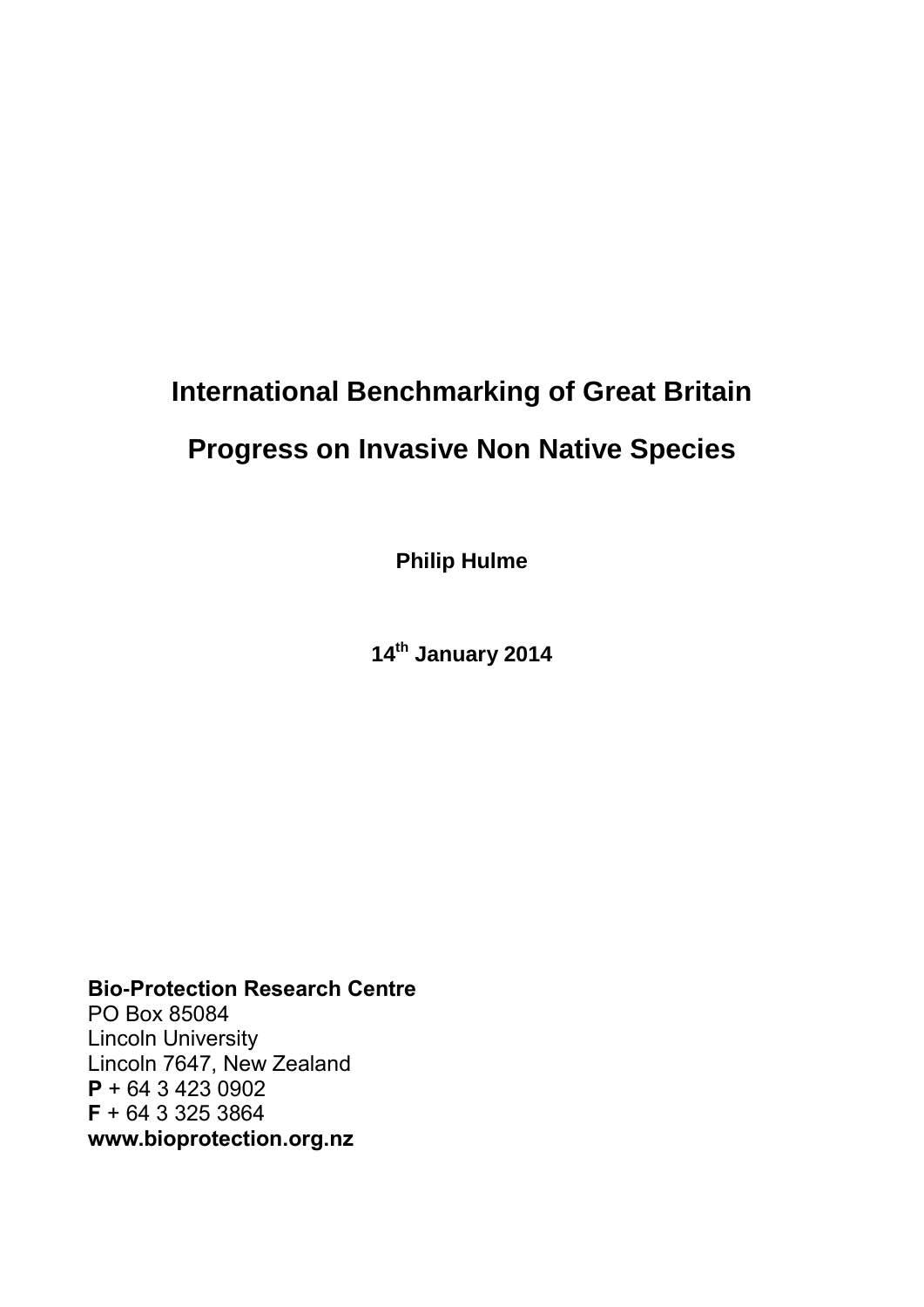# **International Benchmarking of Great Britain**

## **Progress on Invasive Non Native Species**

**Philip Hulme**

**14th January 2014**

**Bio-Protection Research Centre** PO Box 85084 Lincoln University Lincoln 7647, New Zealand **P** + 64 3 423 0902 **F** + 64 3 325 3864 **www.bioprotection.org.nz**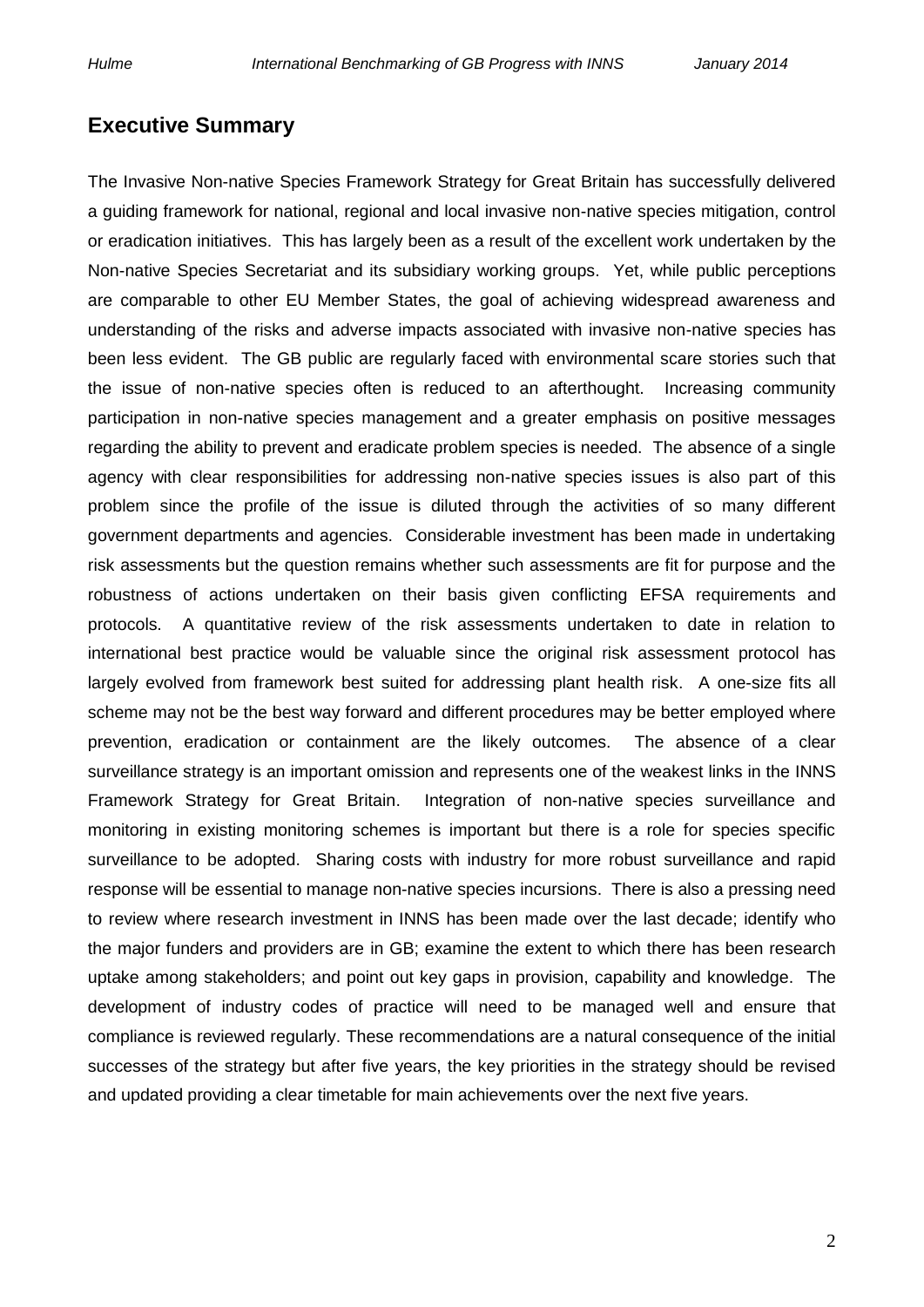### **Executive Summary**

The Invasive Non-native Species Framework Strategy for Great Britain has successfully delivered a guiding framework for national, regional and local invasive non-native species mitigation, control or eradication initiatives. This has largely been as a result of the excellent work undertaken by the Non-native Species Secretariat and its subsidiary working groups. Yet, while public perceptions are comparable to other EU Member States, the goal of achieving widespread awareness and understanding of the risks and adverse impacts associated with invasive non-native species has been less evident. The GB public are regularly faced with environmental scare stories such that the issue of non-native species often is reduced to an afterthought. Increasing community participation in non-native species management and a greater emphasis on positive messages regarding the ability to prevent and eradicate problem species is needed. The absence of a single agency with clear responsibilities for addressing non-native species issues is also part of this problem since the profile of the issue is diluted through the activities of so many different government departments and agencies. Considerable investment has been made in undertaking risk assessments but the question remains whether such assessments are fit for purpose and the robustness of actions undertaken on their basis given conflicting EFSA requirements and protocols. A quantitative review of the risk assessments undertaken to date in relation to international best practice would be valuable since the original risk assessment protocol has largely evolved from framework best suited for addressing plant health risk. A one-size fits all scheme may not be the best way forward and different procedures may be better employed where prevention, eradication or containment are the likely outcomes. The absence of a clear surveillance strategy is an important omission and represents one of the weakest links in the INNS Framework Strategy for Great Britain. Integration of non-native species surveillance and monitoring in existing monitoring schemes is important but there is a role for species specific surveillance to be adopted. Sharing costs with industry for more robust surveillance and rapid response will be essential to manage non-native species incursions. There is also a pressing need to review where research investment in INNS has been made over the last decade; identify who the major funders and providers are in GB; examine the extent to which there has been research uptake among stakeholders; and point out key gaps in provision, capability and knowledge. The development of industry codes of practice will need to be managed well and ensure that compliance is reviewed regularly. These recommendations are a natural consequence of the initial successes of the strategy but after five years, the key priorities in the strategy should be revised and updated providing a clear timetable for main achievements over the next five years.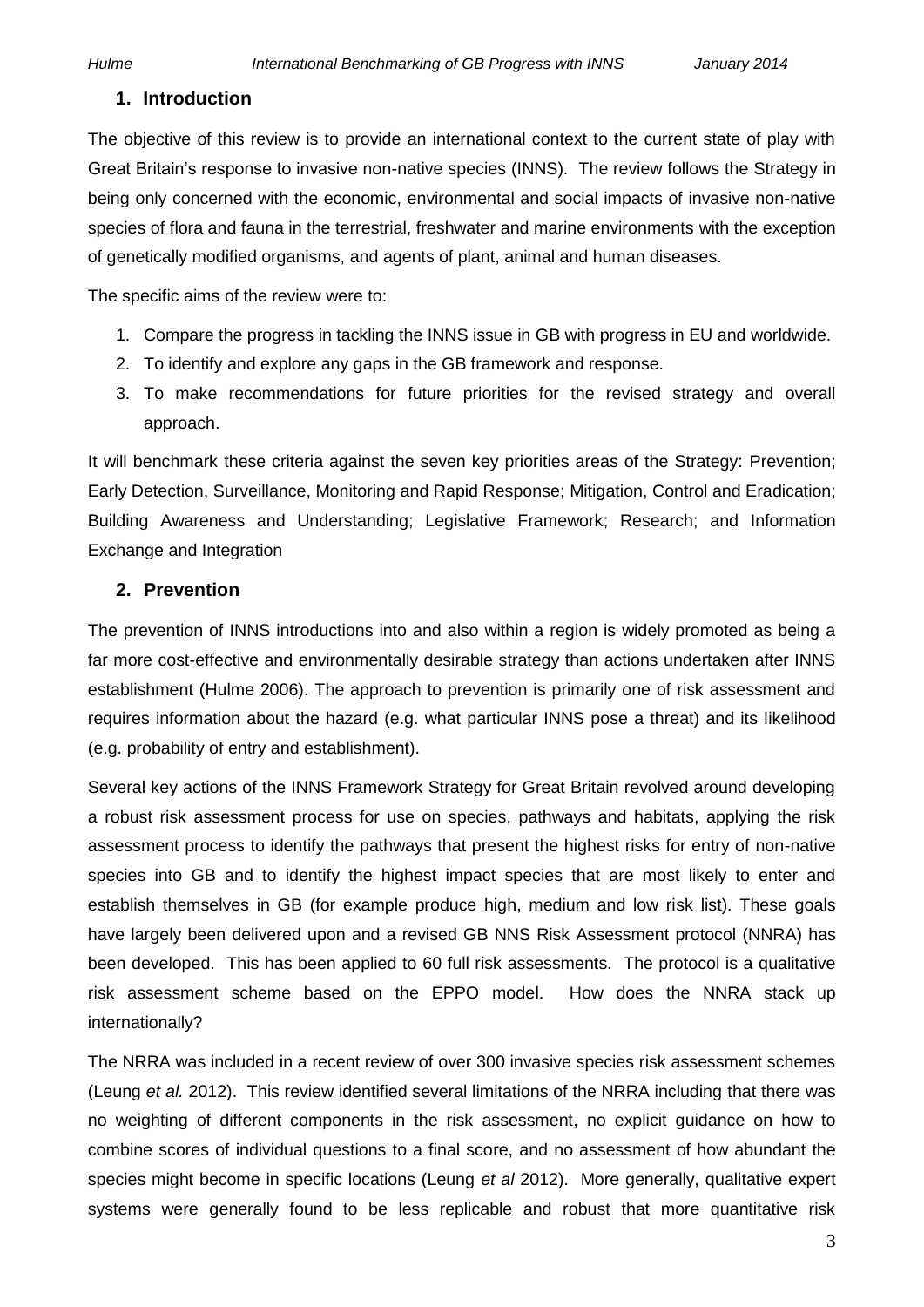### **1. Introduction**

The objective of this review is to provide an international context to the current state of play with Great Britain's response to invasive non-native species (INNS). The review follows the Strategy in being only concerned with the economic, environmental and social impacts of invasive non-native species of flora and fauna in the terrestrial, freshwater and marine environments with the exception of genetically modified organisms, and agents of plant, animal and human diseases.

The specific aims of the review were to:

- 1. Compare the progress in tackling the INNS issue in GB with progress in EU and worldwide.
- 2. To identify and explore any gaps in the GB framework and response.
- 3. To make recommendations for future priorities for the revised strategy and overall approach.

It will benchmark these criteria against the seven key priorities areas of the Strategy: Prevention; Early Detection, Surveillance, Monitoring and Rapid Response; Mitigation, Control and Eradication; Building Awareness and Understanding; Legislative Framework; Research; and Information Exchange and Integration

### **2. Prevention**

The prevention of INNS introductions into and also within a region is widely promoted as being a far more cost-effective and environmentally desirable strategy than actions undertaken after INNS establishment (Hulme 2006). The approach to prevention is primarily one of risk assessment and requires information about the hazard (e.g. what particular INNS pose a threat) and its likelihood (e.g. probability of entry and establishment).

Several key actions of the INNS Framework Strategy for Great Britain revolved around developing a robust risk assessment process for use on species, pathways and habitats, applying the risk assessment process to identify the pathways that present the highest risks for entry of non-native species into GB and to identify the highest impact species that are most likely to enter and establish themselves in GB (for example produce high, medium and low risk list). These goals have largely been delivered upon and a revised GB NNS Risk Assessment protocol (NNRA) has been developed. This has been applied to 60 full risk assessments. The protocol is a qualitative risk assessment scheme based on the EPPO model. How does the NNRA stack up internationally?

The NRRA was included in a recent review of over 300 invasive species risk assessment schemes (Leung *et al.* 2012). This review identified several limitations of the NRRA including that there was no weighting of different components in the risk assessment, no explicit guidance on how to combine scores of individual questions to a final score, and no assessment of how abundant the species might become in specific locations (Leung *et al* 2012). More generally, qualitative expert systems were generally found to be less replicable and robust that more quantitative risk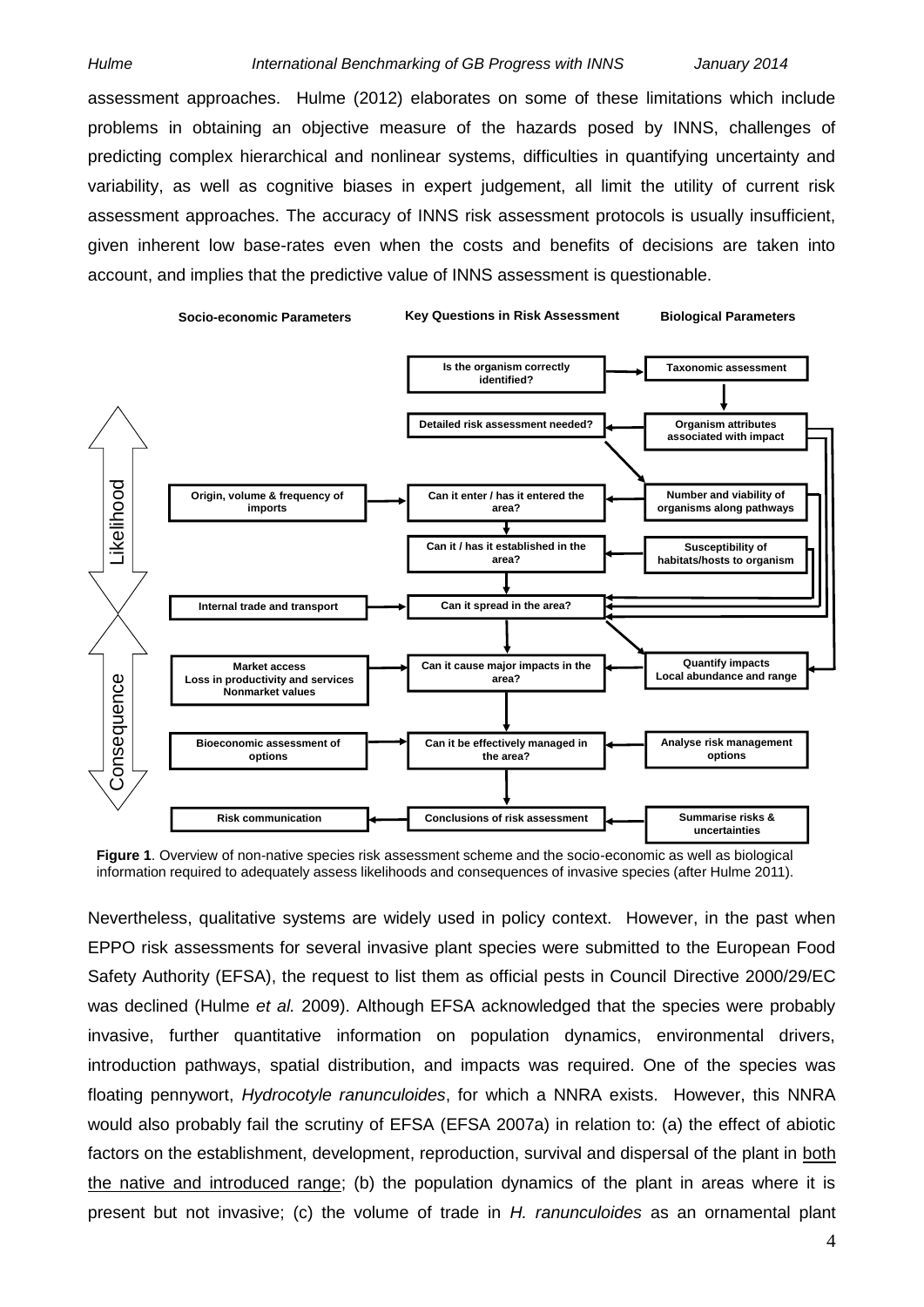assessment approaches. Hulme (2012) elaborates on some of these limitations which include problems in obtaining an objective measure of the hazards posed by INNS, challenges of predicting complex hierarchical and nonlinear systems, difficulties in quantifying uncertainty and variability, as well as cognitive biases in expert judgement, all limit the utility of current risk assessment approaches. The accuracy of INNS risk assessment protocols is usually insufficient, given inherent low base-rates even when the costs and benefits of decisions are taken into account, and implies that the predictive value of INNS assessment is questionable.



**Figure 1**. Overview of non-native species risk assessment scheme and the socio-economic as well as biological information required to adequately assess likelihoods and consequences of invasive species (after Hulme 2011).

Nevertheless, qualitative systems are widely used in policy context. However, in the past when EPPO risk assessments for several invasive plant species were submitted to the European Food Safety Authority (EFSA), the request to list them as official pests in Council Directive 2000/29/EC was declined (Hulme *et al.* 2009). Although EFSA acknowledged that the species were probably invasive, further quantitative information on population dynamics, environmental drivers, introduction pathways, spatial distribution, and impacts was required. One of the species was floating pennywort, *Hydrocotyle ranunculoides*, for which a NNRA exists. However, this NNRA would also probably fail the scrutiny of EFSA (EFSA 2007a) in relation to: (a) the effect of abiotic factors on the establishment, development, reproduction, survival and dispersal of the plant in both the native and introduced range; (b) the population dynamics of the plant in areas where it is present but not invasive; (c) the volume of trade in *H. ranunculoides* as an ornamental plant

4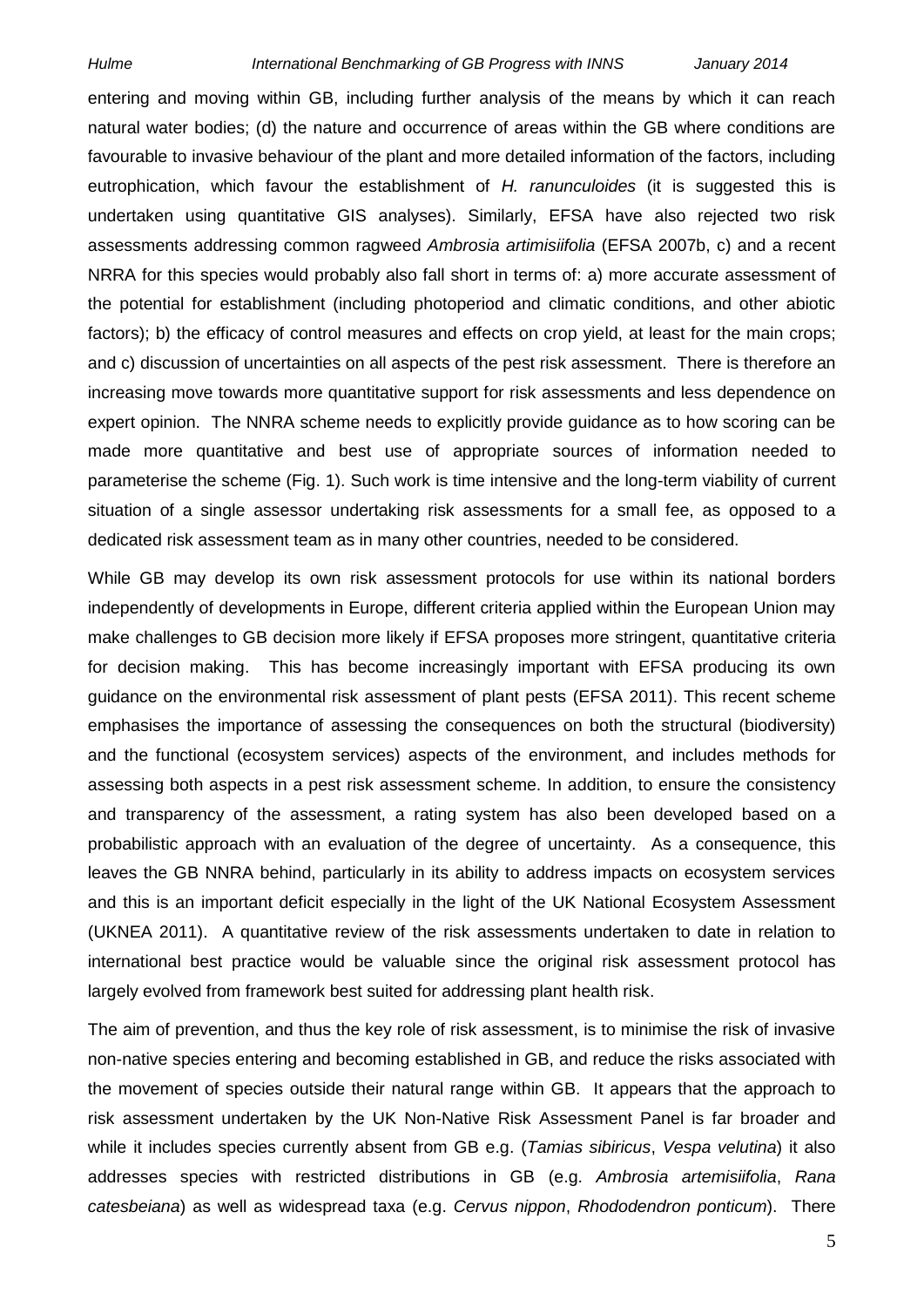entering and moving within GB, including further analysis of the means by which it can reach natural water bodies; (d) the nature and occurrence of areas within the GB where conditions are favourable to invasive behaviour of the plant and more detailed information of the factors, including eutrophication, which favour the establishment of *H. ranunculoides* (it is suggested this is undertaken using quantitative GIS analyses). Similarly, EFSA have also rejected two risk assessments addressing common ragweed *Ambrosia artimisiifolia* (EFSA 2007b, c) and a recent NRRA for this species would probably also fall short in terms of: a) more accurate assessment of the potential for establishment (including photoperiod and climatic conditions, and other abiotic factors); b) the efficacy of control measures and effects on crop yield, at least for the main crops; and c) discussion of uncertainties on all aspects of the pest risk assessment. There is therefore an increasing move towards more quantitative support for risk assessments and less dependence on expert opinion. The NNRA scheme needs to explicitly provide guidance as to how scoring can be made more quantitative and best use of appropriate sources of information needed to parameterise the scheme (Fig. 1). Such work is time intensive and the long-term viability of current situation of a single assessor undertaking risk assessments for a small fee, as opposed to a dedicated risk assessment team as in many other countries, needed to be considered.

While GB may develop its own risk assessment protocols for use within its national borders independently of developments in Europe, different criteria applied within the European Union may make challenges to GB decision more likely if EFSA proposes more stringent, quantitative criteria for decision making. This has become increasingly important with EFSA producing its own guidance on the environmental risk assessment of plant pests (EFSA 2011). This recent scheme emphasises the importance of assessing the consequences on both the structural (biodiversity) and the functional (ecosystem services) aspects of the environment, and includes methods for assessing both aspects in a pest risk assessment scheme. In addition, to ensure the consistency and transparency of the assessment, a rating system has also been developed based on a probabilistic approach with an evaluation of the degree of uncertainty. As a consequence, this leaves the GB NNRA behind, particularly in its ability to address impacts on ecosystem services and this is an important deficit especially in the light of the UK National Ecosystem Assessment (UKNEA 2011). A quantitative review of the risk assessments undertaken to date in relation to international best practice would be valuable since the original risk assessment protocol has largely evolved from framework best suited for addressing plant health risk.

The aim of prevention, and thus the key role of risk assessment, is to minimise the risk of invasive non-native species entering and becoming established in GB, and reduce the risks associated with the movement of species outside their natural range within GB. It appears that the approach to risk assessment undertaken by the UK Non-Native Risk Assessment Panel is far broader and while it includes species currently absent from GB e.g. (*Tamias sibiricus*, *Vespa velutina*) it also addresses species with restricted distributions in GB (e.g. *Ambrosia artemisiifolia*, *Rana catesbeiana*) as well as widespread taxa (e.g. *Cervus nippon*, *Rhododendron ponticum*). There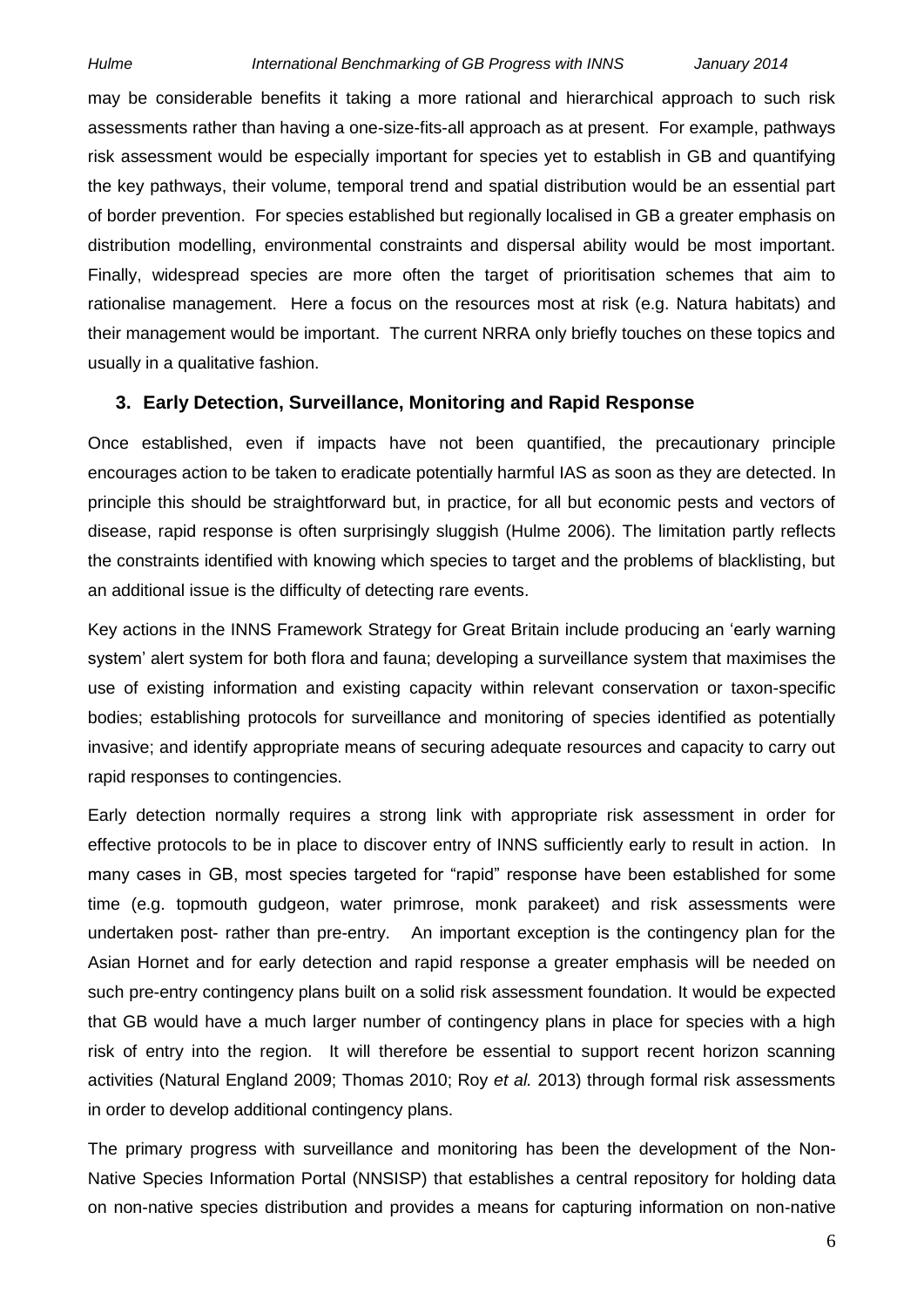may be considerable benefits it taking a more rational and hierarchical approach to such risk assessments rather than having a one-size-fits-all approach as at present. For example, pathways risk assessment would be especially important for species yet to establish in GB and quantifying the key pathways, their volume, temporal trend and spatial distribution would be an essential part of border prevention. For species established but regionally localised in GB a greater emphasis on distribution modelling, environmental constraints and dispersal ability would be most important. Finally, widespread species are more often the target of prioritisation schemes that aim to rationalise management. Here a focus on the resources most at risk (e.g. Natura habitats) and their management would be important. The current NRRA only briefly touches on these topics and usually in a qualitative fashion.

### **3. Early Detection, Surveillance, Monitoring and Rapid Response**

Once established, even if impacts have not been quantified, the precautionary principle encourages action to be taken to eradicate potentially harmful IAS as soon as they are detected. In principle this should be straightforward but, in practice, for all but economic pests and vectors of disease, rapid response is often surprisingly sluggish (Hulme 2006). The limitation partly reflects the constraints identified with knowing which species to target and the problems of blacklisting, but an additional issue is the difficulty of detecting rare events.

Key actions in the INNS Framework Strategy for Great Britain include producing an 'early warning system' alert system for both flora and fauna; developing a surveillance system that maximises the use of existing information and existing capacity within relevant conservation or taxon-specific bodies; establishing protocols for surveillance and monitoring of species identified as potentially invasive; and identify appropriate means of securing adequate resources and capacity to carry out rapid responses to contingencies.

Early detection normally requires a strong link with appropriate risk assessment in order for effective protocols to be in place to discover entry of INNS sufficiently early to result in action. In many cases in GB, most species targeted for "rapid" response have been established for some time (e.g. topmouth gudgeon, water primrose, monk parakeet) and risk assessments were undertaken post- rather than pre-entry. An important exception is the contingency plan for the Asian Hornet and for early detection and rapid response a greater emphasis will be needed on such pre-entry contingency plans built on a solid risk assessment foundation. It would be expected that GB would have a much larger number of contingency plans in place for species with a high risk of entry into the region. It will therefore be essential to support recent horizon scanning activities (Natural England 2009; Thomas 2010; Roy *et al.* 2013) through formal risk assessments in order to develop additional contingency plans.

The primary progress with surveillance and monitoring has been the development of the Non-Native Species Information Portal (NNSISP) that establishes a central repository for holding data on non-native species distribution and provides a means for capturing information on non-native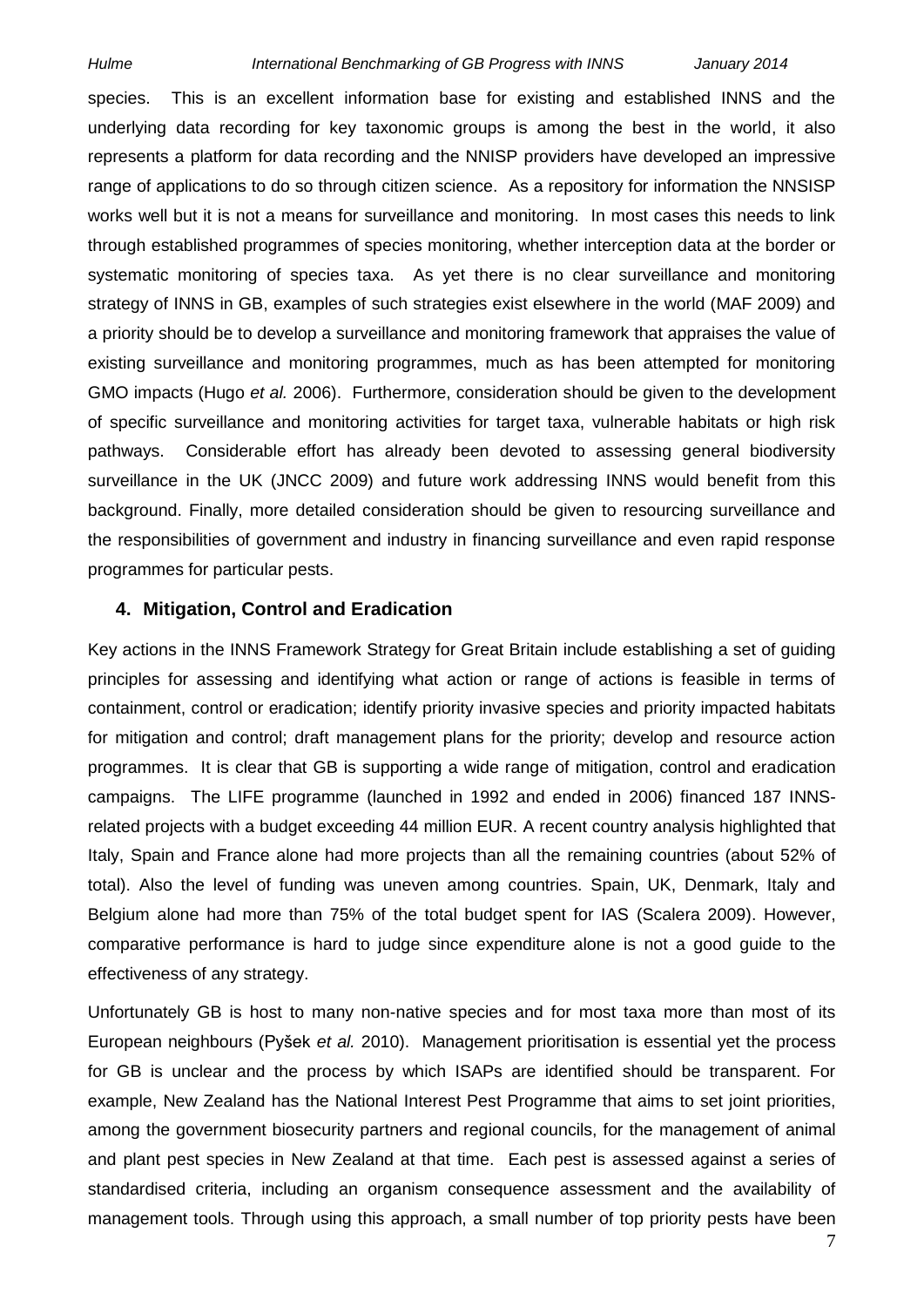species. This is an excellent information base for existing and established INNS and the underlying data recording for key taxonomic groups is among the best in the world, it also represents a platform for data recording and the NNISP providers have developed an impressive range of applications to do so through citizen science. As a repository for information the NNSISP works well but it is not a means for surveillance and monitoring. In most cases this needs to link through established programmes of species monitoring, whether interception data at the border or systematic monitoring of species taxa. As yet there is no clear surveillance and monitoring strategy of INNS in GB, examples of such strategies exist elsewhere in the world (MAF 2009) and a priority should be to develop a surveillance and monitoring framework that appraises the value of existing surveillance and monitoring programmes, much as has been attempted for monitoring GMO impacts (Hugo *et al.* 2006). Furthermore, consideration should be given to the development of specific surveillance and monitoring activities for target taxa, vulnerable habitats or high risk pathways. Considerable effort has already been devoted to assessing general biodiversity surveillance in the UK (JNCC 2009) and future work addressing INNS would benefit from this background. Finally, more detailed consideration should be given to resourcing surveillance and the responsibilities of government and industry in financing surveillance and even rapid response programmes for particular pests.

### **4. Mitigation, Control and Eradication**

Key actions in the INNS Framework Strategy for Great Britain include establishing a set of guiding principles for assessing and identifying what action or range of actions is feasible in terms of containment, control or eradication; identify priority invasive species and priority impacted habitats for mitigation and control; draft management plans for the priority; develop and resource action programmes. It is clear that GB is supporting a wide range of mitigation, control and eradication campaigns. The LIFE programme (launched in 1992 and ended in 2006) financed 187 INNSrelated projects with a budget exceeding 44 million EUR. A recent country analysis highlighted that Italy, Spain and France alone had more projects than all the remaining countries (about 52% of total). Also the level of funding was uneven among countries. Spain, UK, Denmark, Italy and Belgium alone had more than 75% of the total budget spent for IAS (Scalera 2009). However, comparative performance is hard to judge since expenditure alone is not a good guide to the effectiveness of any strategy.

Unfortunately GB is host to many non-native species and for most taxa more than most of its European neighbours (Pyšek *et al.* 2010). Management prioritisation is essential yet the process for GB is unclear and the process by which ISAPs are identified should be transparent. For example, New Zealand has the National Interest Pest Programme that aims to set joint priorities, among the government biosecurity partners and regional councils, for the management of animal and plant pest species in New Zealand at that time. Each pest is assessed against a series of standardised criteria, including an organism consequence assessment and the availability of management tools. Through using this approach, a small number of top priority pests have been

7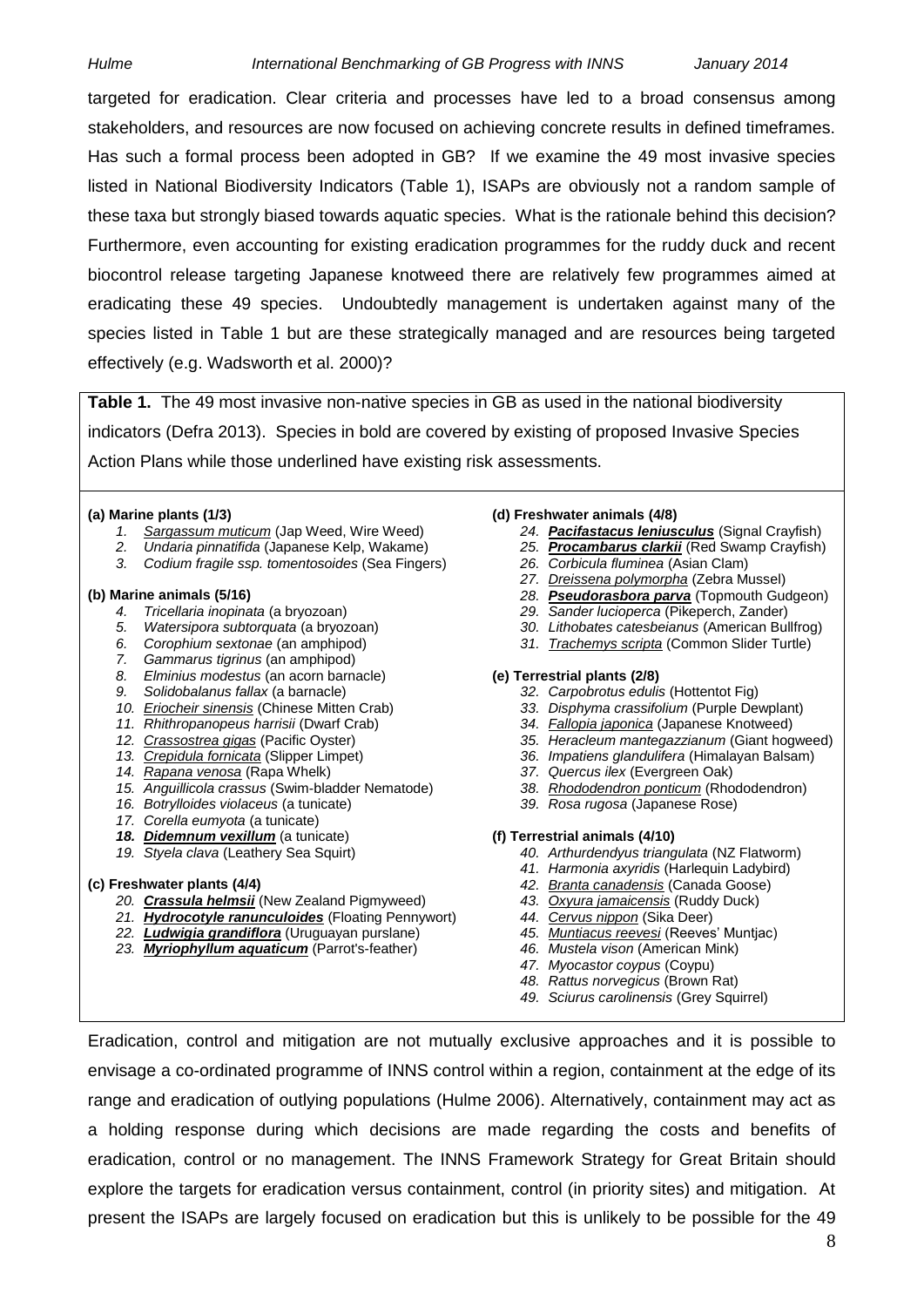targeted for eradication. Clear criteria and processes have led to a broad consensus among stakeholders, and resources are now focused on achieving concrete results in defined timeframes. Has such a formal process been adopted in GB? If we examine the 49 most invasive species listed in National Biodiversity Indicators (Table 1), ISAPs are obviously not a random sample of these taxa but strongly biased towards aquatic species. What is the rationale behind this decision? Furthermore, even accounting for existing eradication programmes for the ruddy duck and recent biocontrol release targeting Japanese knotweed there are relatively few programmes aimed at eradicating these 49 species. Undoubtedly management is undertaken against many of the species listed in Table 1 but are these strategically managed and are resources being targeted effectively (e.g. Wadsworth et al. 2000)?

**Table 1.** The 49 most invasive non-native species in GB as used in the national biodiversity indicators (Defra 2013). Species in bold are covered by existing of proposed Invasive Species Action Plans while those underlined have existing risk assessments.

- *1. Sargassum muticum* (Jap Weed, Wire Weed) *24. Pacifastacus leniusculus* (Signal Crayfish)
- *2. Undaria pinnatifida* (Japanese Kelp, Wakame) *25. Procambarus clarkii* (Red Swamp Crayfish)
- *3. Codium fragile ssp. tomentosoides* (Sea Fingers) *26. Corbicula fluminea* (Asian Clam)

- 
- *5. Watersipora subtorquata* (a bryozoan) *30. Lithobates catesbeianus* (American Bullfrog)
- 
- *7. Gammarus tigrinus* (an amphipod)
- *8. Elminius modestus* (an acorn barnacle) **(e) Terrestrial plants (2/8)**
- 
- *9. Solidobalanus fallax* (a barnacle) *32. Carpobrotus edulis* (Hottentot Fig) *10. Eriocheir sinensis* (Chinese Mitten Crab) *33. Disphyma crassifolium* (Purple Dewplant)
- 
- 
- 
- 
- *14. Rapana venosa* (Rapa Whelk) *37. Quercus ilex* (Evergreen Oak) *15. Anguillicola crassus* (Swim-bladder Nematode)
- *16. Botrylloides violaceus* (a tunicate) *39. Rosa rugosa* (Japanese Rose)
- *17. Corella eumyota* (a tunicate)
- *18. Didemnum vexillum* (a tunicate) **(f) Terrestrial animals (4/10)**
- 

- *20. Crassula helmsii* (New Zealand Pigmyweed) *43. Oxyura jamaicensis* (Ruddy Duck)
- *21. Hydrocotyle ranunculoides* (Floating Pennywort) *44. Cervus nippon* (Sika Deer)
- *22. Ludwigia grandiflora* (Uruguayan purslane) *45. Muntiacus reevesi* (Reeves' Muntjac)
- *23. Myriophyllum aquaticum* (Parrot's-feather) *46. Mustela vison* (American Mink)

#### **(a) Marine plants (1/3) (d) Freshwater animals (4/8)**

- 
- 
- 
- *27. Dreissena polymorpha* (Zebra Mussel)
- **(b) Marine animals (5/16)** *28. Pseudorasbora parva* (Topmouth Gudgeon)
	- *4. Tricellaria inopinata* (a bryozoan) *29. Sander lucioperca* (Pikeperch, Zander)
	-
	- *31. Trachemys scripta* (Common Slider Turtle)

- 
- 
- 34. *Fallopia japonica* (Japanese Knotweed)
- *12. Crassostrea gigas* (Pacific Oyster) *35. Heracleum mantegazzianum* (Giant hogweed)
	- 36. *Impatiens glandulifera* (Himalayan Balsam)<br>37. Quercus ilex (Evergreen Oak)
	-
	-
	-

- *19. Styela clava* (Leathery Sea Squirt) *40. Arthurdendyus triangulata* (NZ Flatworm)
	- *41. Harmonia axyridis* (Harlequin Ladybird)
- **(c) Freshwater plants (4/4)** *42. Branta canadensis* (Canada Goose)
	-
	-
	-
	-
	- *47. Myocastor coypus* (Coypu)
	- *48. Rattus norvegicus* (Brown Rat)
	- *49. Sciurus carolinensis* (Grey Squirrel)

Eradication, control and mitigation are not mutually exclusive approaches and it is possible to envisage a co-ordinated programme of INNS control within a region, containment at the edge of its range and eradication of outlying populations (Hulme 2006). Alternatively, containment may act as a holding response during which decisions are made regarding the costs and benefits of eradication, control or no management. The INNS Framework Strategy for Great Britain should explore the targets for eradication versus containment, control (in priority sites) and mitigation. At present the ISAPs are largely focused on eradication but this is unlikely to be possible for the 49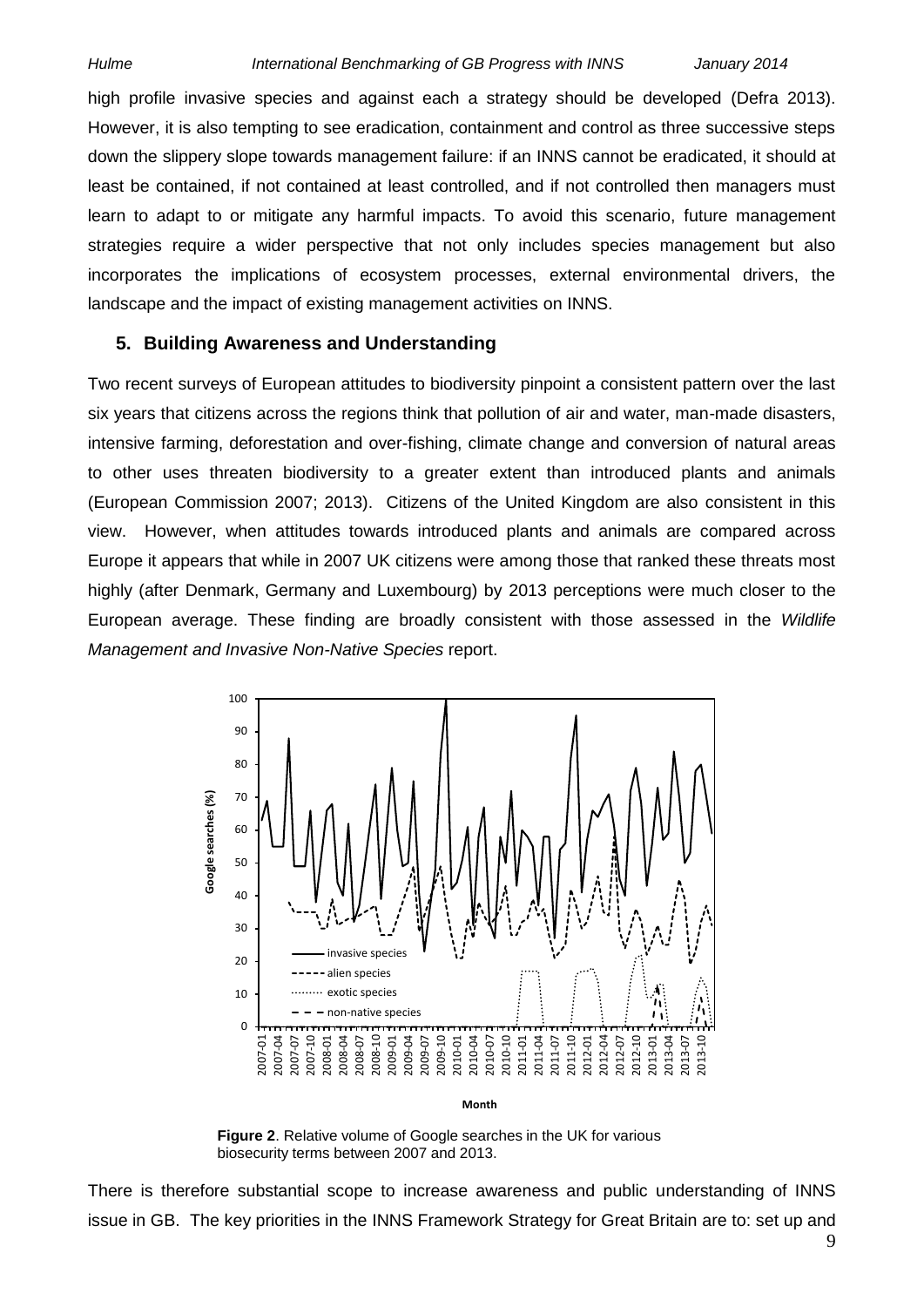high profile invasive species and against each a strategy should be developed (Defra 2013). However, it is also tempting to see eradication, containment and control as three successive steps down the slippery slope towards management failure: if an INNS cannot be eradicated, it should at least be contained, if not contained at least controlled, and if not controlled then managers must learn to adapt to or mitigate any harmful impacts. To avoid this scenario, future management strategies require a wider perspective that not only includes species management but also incorporates the implications of ecosystem processes, external environmental drivers, the landscape and the impact of existing management activities on INNS.

#### **5. Building Awareness and Understanding**

Two recent surveys of European attitudes to biodiversity pinpoint a consistent pattern over the last six years that citizens across the regions think that pollution of air and water, man-made disasters, intensive farming, deforestation and over-fishing, climate change and conversion of natural areas to other uses threaten biodiversity to a greater extent than introduced plants and animals (European Commission 2007; 2013). Citizens of the United Kingdom are also consistent in this view. However, when attitudes towards introduced plants and animals are compared across Europe it appears that while in 2007 UK citizens were among those that ranked these threats most highly (after Denmark, Germany and Luxembourg) by 2013 perceptions were much closer to the European average. These finding are broadly consistent with those assessed in the *Wildlife Management and Invasive Non-Native Species* report.



**Figure 2**. Relative volume of Google searches in the UK for various biosecurity terms between 2007 and 2013.

There is therefore substantial scope to increase awareness and public understanding of INNS issue in GB. The key priorities in the INNS Framework Strategy for Great Britain are to: set up and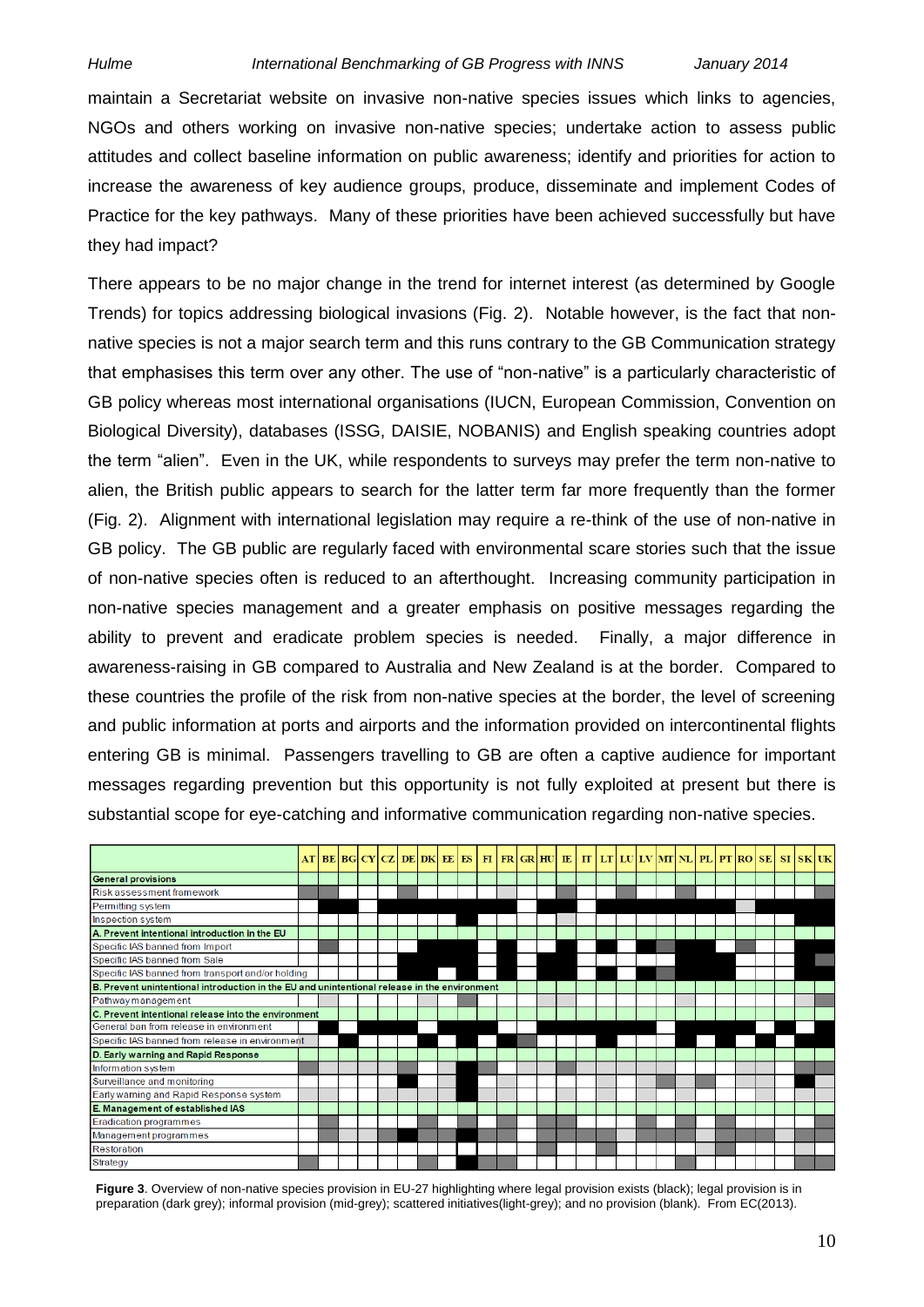maintain a Secretariat website on invasive non-native species issues which links to agencies, NGOs and others working on invasive non-native species; undertake action to assess public attitudes and collect baseline information on public awareness; identify and priorities for action to increase the awareness of key audience groups, produce, disseminate and implement Codes of Practice for the key pathways. Many of these priorities have been achieved successfully but have they had impact?

There appears to be no major change in the trend for internet interest (as determined by Google Trends) for topics addressing biological invasions (Fig. 2). Notable however, is the fact that nonnative species is not a major search term and this runs contrary to the GB Communication strategy that emphasises this term over any other. The use of "non-native" is a particularly characteristic of GB policy whereas most international organisations (IUCN, European Commission, Convention on Biological Diversity), databases (ISSG, DAISIE, NOBANIS) and English speaking countries adopt the term "alien". Even in the UK, while respondents to surveys may prefer the term non-native to alien, the British public appears to search for the latter term far more frequently than the former (Fig. 2). Alignment with international legislation may require a re-think of the use of non-native in GB policy. The GB public are regularly faced with environmental scare stories such that the issue of non-native species often is reduced to an afterthought. Increasing community participation in non-native species management and a greater emphasis on positive messages regarding the ability to prevent and eradicate problem species is needed. Finally, a major difference in awareness-raising in GB compared to Australia and New Zealand is at the border. Compared to these countries the profile of the risk from non-native species at the border, the level of screening and public information at ports and airports and the information provided on intercontinental flights entering GB is minimal. Passengers travelling to GB are often a captive audience for important messages regarding prevention but this opportunity is not fully exploited at present but there is substantial scope for eye-catching and informative communication regarding non-native species.



**Figure 3**. Overview of non-native species provision in EU-27 highlighting where legal provision exists (black); legal provision is in preparation (dark grey); informal provision (mid-grey); scattered initiatives(light-grey); and no provision (blank). From EC(2013).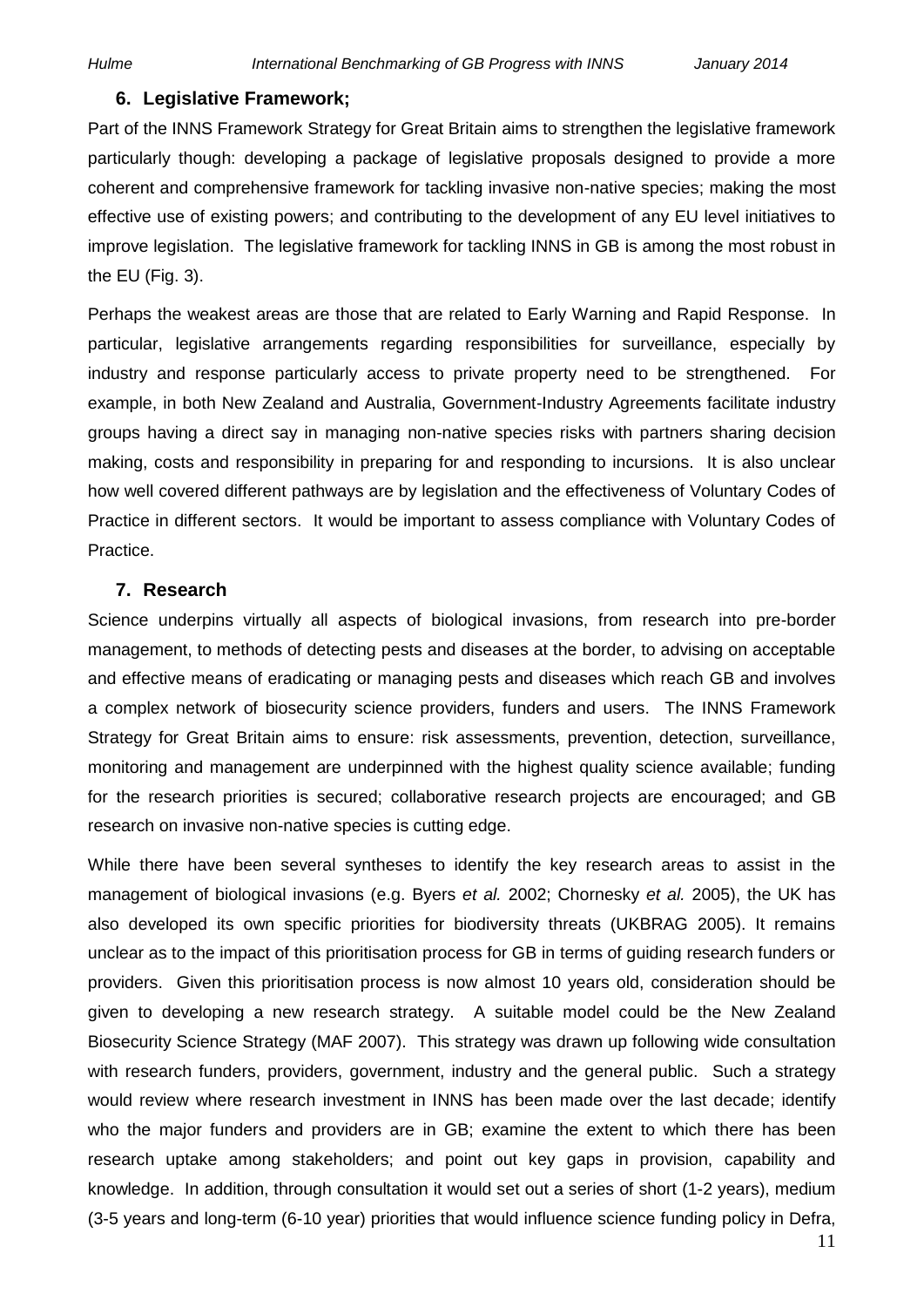#### **6. Legislative Framework;**

Part of the INNS Framework Strategy for Great Britain aims to strengthen the legislative framework particularly though: developing a package of legislative proposals designed to provide a more coherent and comprehensive framework for tackling invasive non-native species; making the most effective use of existing powers; and contributing to the development of any EU level initiatives to improve legislation. The legislative framework for tackling INNS in GB is among the most robust in the EU (Fig. 3).

Perhaps the weakest areas are those that are related to Early Warning and Rapid Response. In particular, legislative arrangements regarding responsibilities for surveillance, especially by industry and response particularly access to private property need to be strengthened. For example, in both New Zealand and Australia, Government-Industry Agreements facilitate industry groups having a direct say in managing non-native species risks with partners sharing decision making, costs and responsibility in preparing for and responding to incursions. It is also unclear how well covered different pathways are by legislation and the effectiveness of Voluntary Codes of Practice in different sectors. It would be important to assess compliance with Voluntary Codes of Practice.

#### **7. Research**

Science underpins virtually all aspects of biological invasions, from research into pre-border management, to methods of detecting pests and diseases at the border, to advising on acceptable and effective means of eradicating or managing pests and diseases which reach GB and involves a complex network of biosecurity science providers, funders and users. The INNS Framework Strategy for Great Britain aims to ensure: risk assessments, prevention, detection, surveillance, monitoring and management are underpinned with the highest quality science available; funding for the research priorities is secured; collaborative research projects are encouraged; and GB research on invasive non-native species is cutting edge.

While there have been several syntheses to identify the key research areas to assist in the management of biological invasions (e.g. Byers *et al.* 2002; Chornesky *et al.* 2005), the UK has also developed its own specific priorities for biodiversity threats (UKBRAG 2005). It remains unclear as to the impact of this prioritisation process for GB in terms of guiding research funders or providers. Given this prioritisation process is now almost 10 years old, consideration should be given to developing a new research strategy. A suitable model could be the New Zealand Biosecurity Science Strategy (MAF 2007). This strategy was drawn up following wide consultation with research funders, providers, government, industry and the general public. Such a strategy would review where research investment in INNS has been made over the last decade; identify who the major funders and providers are in GB; examine the extent to which there has been research uptake among stakeholders; and point out key gaps in provision, capability and knowledge. In addition, through consultation it would set out a series of short (1-2 years), medium (3-5 years and long-term (6-10 year) priorities that would influence science funding policy in Defra,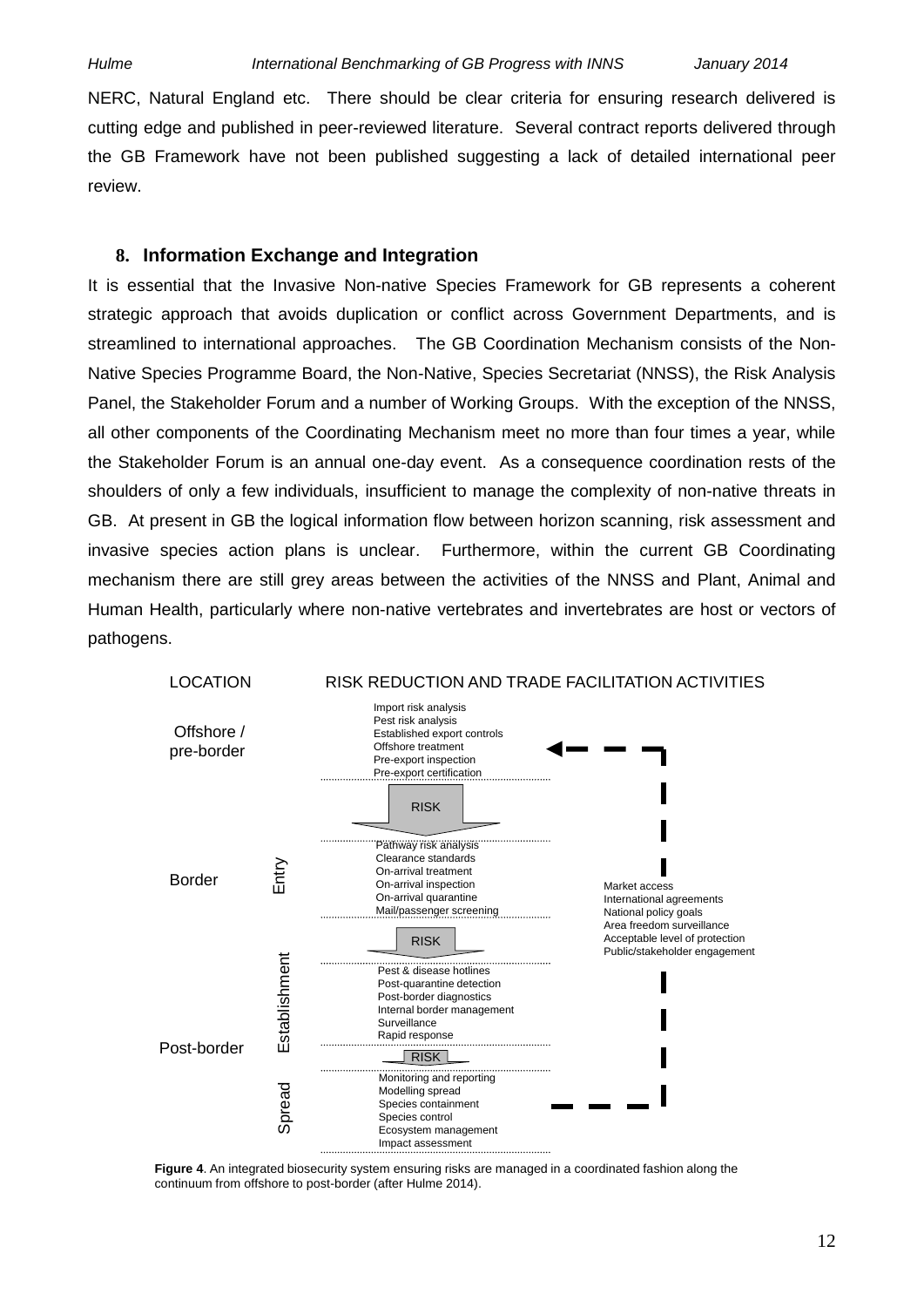NERC, Natural England etc. There should be clear criteria for ensuring research delivered is cutting edge and published in peer-reviewed literature. Several contract reports delivered through the GB Framework have not been published suggesting a lack of detailed international peer review.

### **8. Information Exchange and Integration**

It is essential that the Invasive Non-native Species Framework for GB represents a coherent strategic approach that avoids duplication or conflict across Government Departments, and is streamlined to international approaches. The GB Coordination Mechanism consists of the Non-Native Species Programme Board, the Non-Native, Species Secretariat (NNSS), the Risk Analysis Panel, the Stakeholder Forum and a number of Working Groups. With the exception of the NNSS, all other components of the Coordinating Mechanism meet no more than four times a year, while the Stakeholder Forum is an annual one-day event. As a consequence coordination rests of the shoulders of only a few individuals, insufficient to manage the complexity of non-native threats in GB. At present in GB the logical information flow between horizon scanning, risk assessment and invasive species action plans is unclear. Furthermore, within the current GB Coordinating mechanism there are still grey areas between the activities of the NNSS and Plant, Animal and Human Health, particularly where non-native vertebrates and invertebrates are host or vectors of pathogens.



**Figure 4**. An integrated biosecurity system ensuring risks are managed in a coordinated fashion along the continuum from offshore to post-border (after Hulme 2014).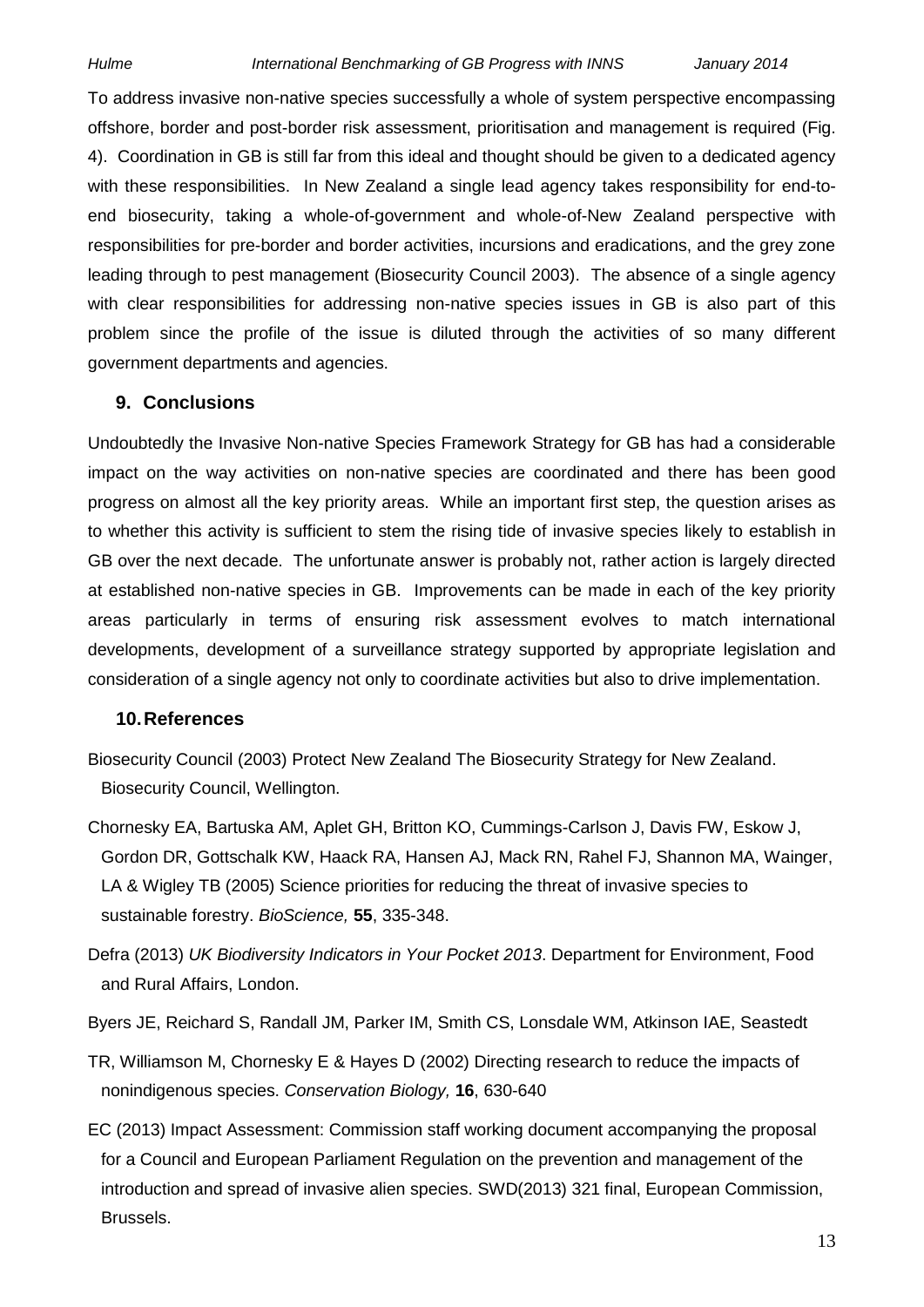To address invasive non-native species successfully a whole of system perspective encompassing offshore, border and post-border risk assessment, prioritisation and management is required (Fig. 4). Coordination in GB is still far from this ideal and thought should be given to a dedicated agency with these responsibilities. In New Zealand a single lead agency takes responsibility for end-toend biosecurity, taking a whole-of-government and whole-of-New Zealand perspective with responsibilities for pre-border and border activities, incursions and eradications, and the grey zone leading through to pest management (Biosecurity Council 2003). The absence of a single agency with clear responsibilities for addressing non-native species issues in GB is also part of this problem since the profile of the issue is diluted through the activities of so many different government departments and agencies.

### **9. Conclusions**

Undoubtedly the Invasive Non-native Species Framework Strategy for GB has had a considerable impact on the way activities on non-native species are coordinated and there has been good progress on almost all the key priority areas. While an important first step, the question arises as to whether this activity is sufficient to stem the rising tide of invasive species likely to establish in GB over the next decade. The unfortunate answer is probably not, rather action is largely directed at established non-native species in GB. Improvements can be made in each of the key priority areas particularly in terms of ensuring risk assessment evolves to match international developments, development of a surveillance strategy supported by appropriate legislation and consideration of a single agency not only to coordinate activities but also to drive implementation.

### **10.References**

- Biosecurity Council (2003) Protect New Zealand The Biosecurity Strategy for New Zealand. Biosecurity Council, Wellington.
- Chornesky EA, Bartuska AM, Aplet GH, Britton KO, Cummings-Carlson J, Davis FW, Eskow J, Gordon DR, Gottschalk KW, Haack RA, Hansen AJ, Mack RN, Rahel FJ, Shannon MA, Wainger, LA & Wigley TB (2005) Science priorities for reducing the threat of invasive species to sustainable forestry. *BioScience,* **55**, 335-348.
- Defra (2013) *UK Biodiversity Indicators in Your Pocket 2013*. Department for Environment, Food and Rural Affairs, London.
- Byers JE, Reichard S, Randall JM, Parker IM, Smith CS, Lonsdale WM, Atkinson IAE, Seastedt
- TR, Williamson M, Chornesky E & Hayes D (2002) Directing research to reduce the impacts of nonindigenous species. *Conservation Biology,* **16**, 630-640
- EC (2013) Impact Assessment: Commission staff working document accompanying the proposal for a Council and European Parliament Regulation on the prevention and management of the introduction and spread of invasive alien species. SWD(2013) 321 final, European Commission, Brussels.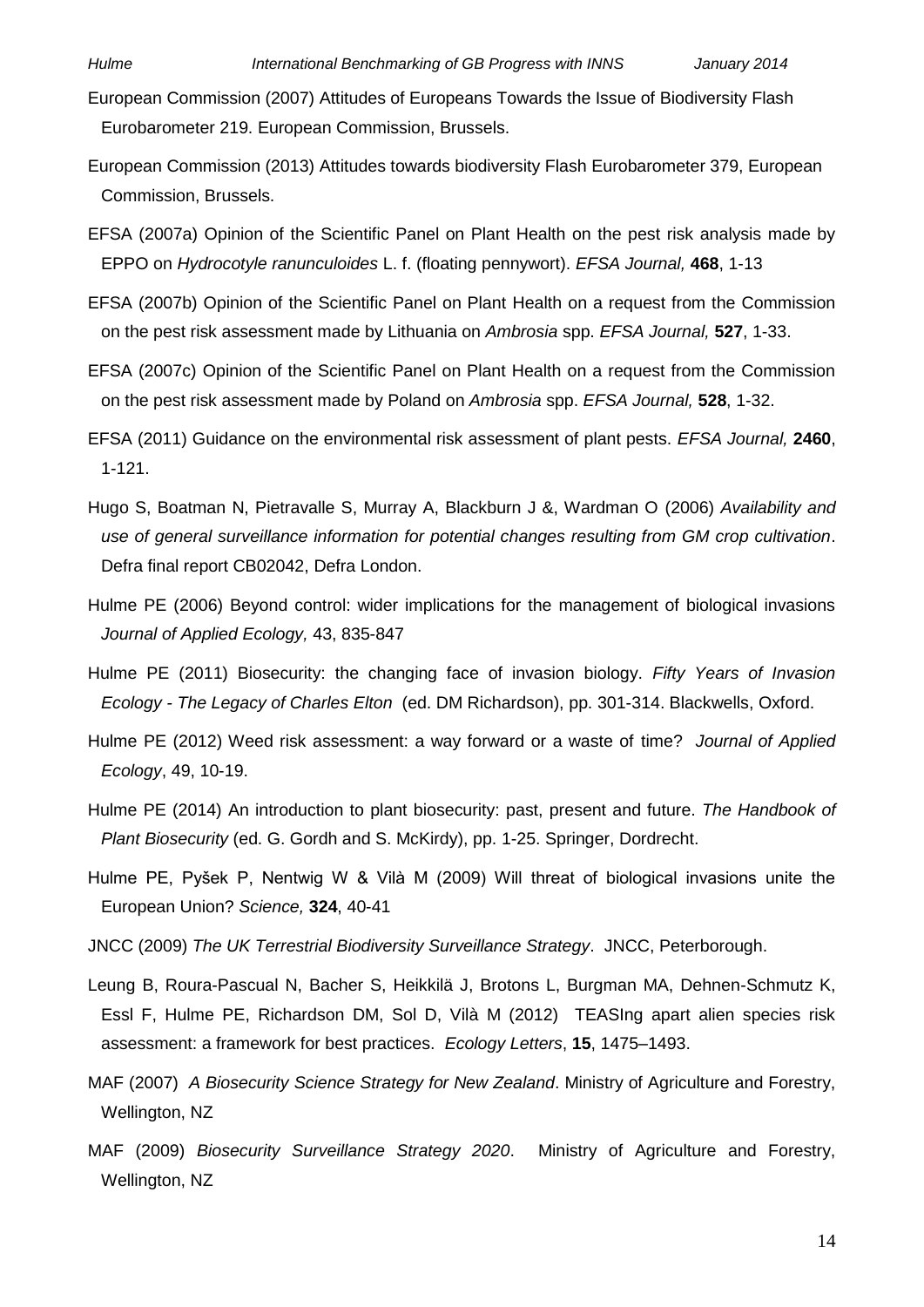- European Commission (2007) Attitudes of Europeans Towards the Issue of Biodiversity Flash Eurobarometer 219. European Commission, Brussels.
- European Commission (2013) Attitudes towards biodiversity Flash Eurobarometer 379, European Commission, Brussels.
- EFSA (2007a) Opinion of the Scientific Panel on Plant Health on the pest risk analysis made by EPPO on *Hydrocotyle ranunculoides* L. f. (floating pennywort). *EFSA Journal,* **468**, 1-13
- EFSA (2007b) Opinion of the Scientific Panel on Plant Health on a request from the Commission on the pest risk assessment made by Lithuania on *Ambrosia* spp. *EFSA Journal,* **527**, 1-33.
- EFSA (2007c) Opinion of the Scientific Panel on Plant Health on a request from the Commission on the pest risk assessment made by Poland on *Ambrosia* spp. *EFSA Journal,* **528**, 1-32.
- EFSA (2011) Guidance on the environmental risk assessment of plant pests. *EFSA Journal,* **2460**, 1-121.
- Hugo S, Boatman N, Pietravalle S, Murray A, Blackburn J &, Wardman O (2006) *Availability and use of general surveillance information for potential changes resulting from GM crop cultivation*. Defra final report CB02042, Defra London.
- Hulme PE (2006) Beyond control: wider implications for the management of biological invasions *Journal of Applied Ecology,* 43, 835-847
- Hulme PE (2011) Biosecurity: the changing face of invasion biology. *Fifty Years of Invasion Ecology - The Legacy of Charles Elton* (ed. DM Richardson), pp. 301-314. Blackwells, Oxford.
- Hulme PE (2012) Weed risk assessment: a way forward or a waste of time? *Journal of Applied Ecology*, 49, 10-19.
- Hulme PE (2014) An introduction to plant biosecurity: past, present and future. *The Handbook of Plant Biosecurity* (ed. G. Gordh and S. McKirdy), pp. 1-25. Springer, Dordrecht.
- Hulme PE, Pyšek P, Nentwig W & Vilà M (2009) Will threat of biological invasions unite the European Union? *Science,* **324**, 40-41
- JNCC (2009) *The UK Terrestrial Biodiversity Surveillance Strategy*. JNCC, Peterborough.
- Leung B, Roura-Pascual N, Bacher S, Heikkilä J, Brotons L, Burgman MA, Dehnen-Schmutz K, Essl F, Hulme PE, Richardson DM, Sol D, Vilà M (2012) TEASIng apart alien species risk assessment: a framework for best practices. *Ecology Letters*, **15**, 1475–1493.
- MAF (2007) *A Biosecurity Science Strategy for New Zealand*. Ministry of Agriculture and Forestry, Wellington, NZ
- MAF (2009) *Biosecurity Surveillance Strategy 2020*. Ministry of Agriculture and Forestry, Wellington, NZ